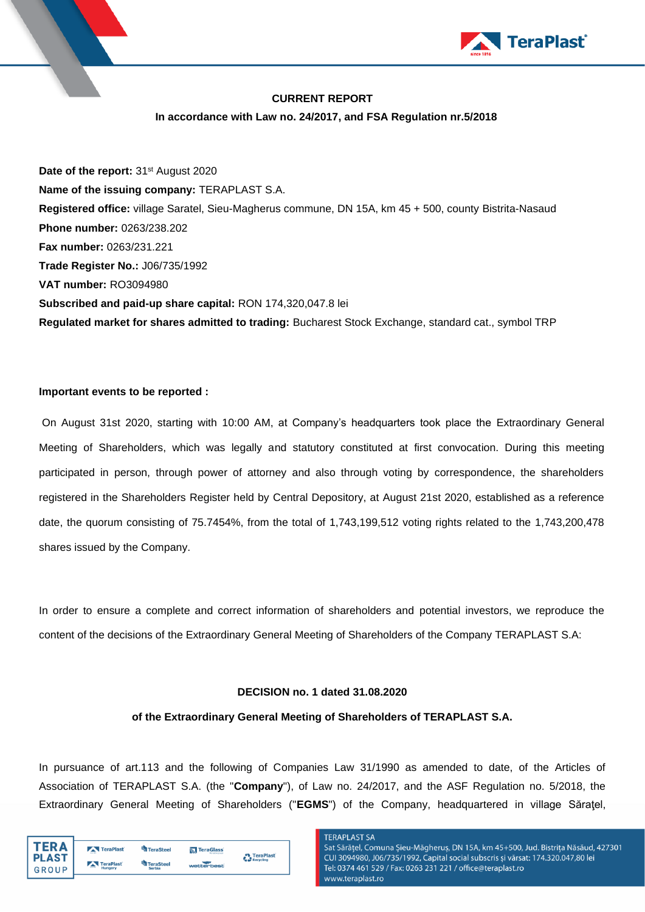

# **CURRENT REPORT**

### **In accordance with Law no. 24/2017, and FSA Regulation nr.5/2018**

**Date of the report:** 31<sup>st</sup> August 2020 **Name of the issuing company:** TERAPLAST S.A. **Registered office:** village Saratel, Sieu-Magherus commune, DN 15A, km 45 + 500, county Bistrita-Nasaud **Phone number:** 0263/238.202 **Fax number:** 0263/231.221 **Trade Register No.:** J06/735/1992 **VAT number:** RO3094980 **Subscribed and paid-up share capital:** RON 174,320,047.8 lei **Regulated market for shares admitted to trading:** Bucharest Stock Exchange, standard cat., symbol TRP

### **Important events to be reported :**

On August 31st 2020, starting with 10:00 AM, at Company's headquarters took place the Extraordinary General Meeting of Shareholders, which was legally and statutory constituted at first convocation. During this meeting participated in person, through power of attorney and also through voting by correspondence, the shareholders registered in the Shareholders Register held by Central Depository, at August 21st 2020, established as a reference date, the quorum consisting of 75.7454%, from the total of 1,743,199,512 voting rights related to the 1,743,200,478 shares issued by the Company.

In order to ensure a complete and correct information of shareholders and potential investors, we reproduce the content of the decisions of the Extraordinary General Meeting of Shareholders of the Company TERAPLAST S.A:

## **DECISION no. 1 dated 31.08.2020**

### **of the Extraordinary General Meeting of Shareholders of TERAPLAST S.A.**

In pursuance of art.113 and the following of Companies Law 31/1990 as amended to date, of the Articles of Association of TERAPLAST S.A. (the "**Company**"), of Law no. 24/2017, and the ASF Regulation no. 5/2018, the Extraordinary General Meeting of Shareholders ("**EGMS**") of the Company, headquartered in village Săraţel,

| "FR Δ        | TeraPlast | TeraSteel     | <b>N</b> TeraGlass<br>fenestre si usi | TeraPlast |
|--------------|-----------|---------------|---------------------------------------|-----------|
| <b>PLAST</b> | TeraPlast | TeraSteel     |                                       | Recycling |
| GROUP        | Hungary   | <b>Serbia</b> | wetterbest                            |           |

# **TERAPLAST SA**

Sat Sărățel, Comuna Șieu-Măgheruș, DN 15A, km 45+500, Jud. Bistrița Năsăud, 427301 CUI 3094980, J06/735/1992, Capital social subscris și vărsat: 174.320.047,80 lei Tel: 0374 461 529 / Fax: 0263 231 221 / office@teraplast.ro vww.teraplast.ro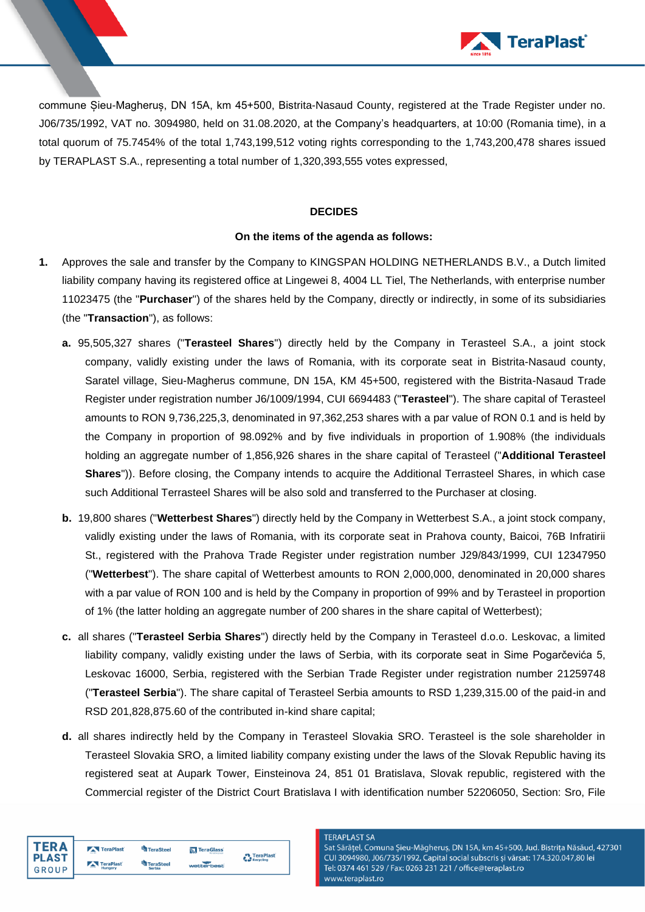

commune Șieu-Magheruș, DN 15A, km 45+500, Bistrita-Nasaud County, registered at the Trade Register under no. J06/735/1992, VAT no. 3094980, held on 31.08.2020, at the Company's headquarters, at 10:00 (Romania time), in a total quorum of 75.7454% of the total 1,743,199,512 voting rights corresponding to the 1,743,200,478 shares issued by TERAPLAST S.A., representing a total number of 1,320,393,555 votes expressed,

# **DECIDES**

## **On the items of the agenda as follows:**

- **1.** Approves the sale and transfer by the Company to KINGSPAN HOLDING NETHERLANDS B.V., a Dutch limited liability company having its registered office at Lingewei 8, 4004 LL Tiel, The Netherlands, with enterprise number 11023475 (the "**Purchaser**") of the shares held by the Company, directly or indirectly, in some of its subsidiaries (the "**Transaction**"), as follows:
	- **a.** 95,505,327 shares ("**Terasteel Shares**") directly held by the Company in Terasteel S.A., a joint stock company, validly existing under the laws of Romania, with its corporate seat in Bistrita-Nasaud county, Saratel village, Sieu-Magherus commune, DN 15A, KM 45+500, registered with the Bistrita-Nasaud Trade Register under registration number J6/1009/1994, CUI 6694483 ("**Terasteel**"). The share capital of Terasteel amounts to RON 9,736,225,3, denominated in 97,362,253 shares with a par value of RON 0.1 and is held by the Company in proportion of 98.092% and by five individuals in proportion of 1.908% (the individuals holding an aggregate number of 1,856,926 shares in the share capital of Terasteel ("**Additional Terasteel Shares**")). Before closing, the Company intends to acquire the Additional Terrasteel Shares, in which case such Additional Terrasteel Shares will be also sold and transferred to the Purchaser at closing.
	- **b.** 19,800 shares ("**Wetterbest Shares**") directly held by the Company in Wetterbest S.A., a joint stock company, validly existing under the laws of Romania, with its corporate seat in Prahova county, Baicoi, 76B Infratirii St., registered with the Prahova Trade Register under registration number J29/843/1999, CUI 12347950 ("**Wetterbest**"). The share capital of Wetterbest amounts to RON 2,000,000, denominated in 20,000 shares with a par value of RON 100 and is held by the Company in proportion of 99% and by Terasteel in proportion of 1% (the latter holding an aggregate number of 200 shares in the share capital of Wetterbest);
	- **c.** all shares ("**Terasteel Serbia Shares**") directly held by the Company in Terasteel d.o.o. Leskovac, a limited liability company, validly existing under the laws of Serbia, with its corporate seat in Sime Pogarčevića 5, Leskovac 16000, Serbia, registered with the Serbian Trade Register under registration number 21259748 ("**Terasteel Serbia**"). The share capital of Terasteel Serbia amounts to RSD 1,239,315.00 of the paid-in and RSD 201,828,875.60 of the contributed in-kind share capital;
	- **d.** all shares indirectly held by the Company in Terasteel Slovakia SRO. Terasteel is the sole shareholder in Terasteel Slovakia SRO, a limited liability company existing under the laws of the Slovak Republic having its registered seat at Aupark Tower, Einsteinova 24, 851 01 Bratislava, Slovak republic, registered with the Commercial register of the District Court Bratislava I with identification number 52206050, Section: Sro, File

**TERAPLAST SA** 

| TFR A                 | TeraPlast            | TeraSteel                  | <b>N</b> TeraGlass | <b>P</b> TeraPlast |
|-----------------------|----------------------|----------------------------|--------------------|--------------------|
| <b>PLAST</b><br>GROUP | TeraPlast<br>Hungary | <b>TeraSteel</b><br>Serbia | wetterbest         | Recycling          |

Sat Sărățel, Comuna Șieu-Măgheruș, DN 15A, km 45+500, Jud. Bistrița Năsăud, 427301 CUI 3094980, J06/735/1992, Capital social subscris și vărsat: 174.320.047,80 lei Tel: 0374 461 529 / Fax: 0263 231 221 / office@teraplast.ro www.teraplast.ro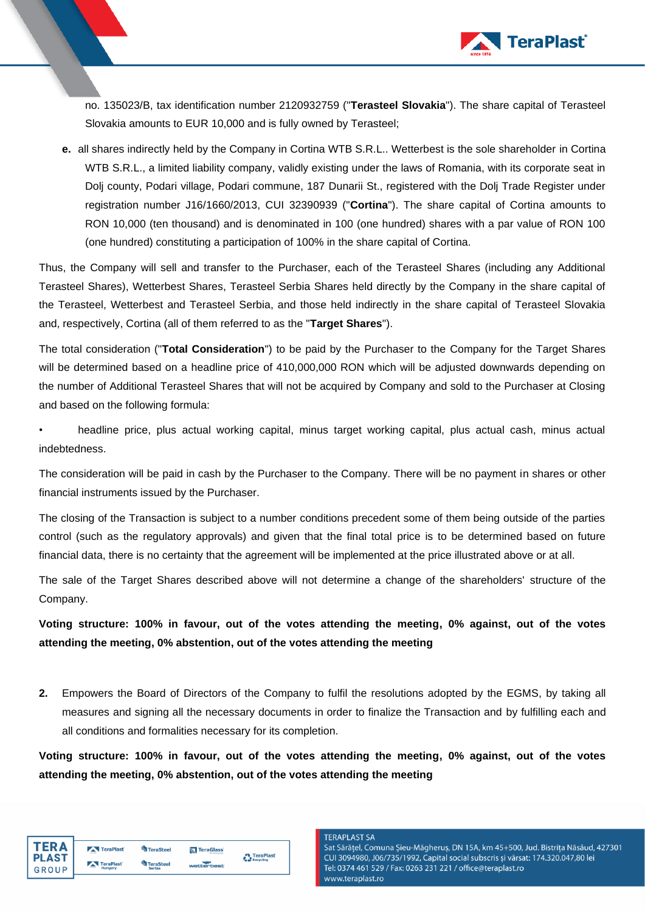

no. 135023/B, tax identification number 2120932759 ("**Terasteel Slovakia**"). The share capital of Terasteel Slovakia amounts to EUR 10,000 and is fully owned by Terasteel;

**e.** all shares indirectly held by the Company in Cortina WTB S.R.L.. Wetterbest is the sole shareholder in Cortina WTB S.R.L., a limited liability company, validly existing under the laws of Romania, with its corporate seat in Dolj county, Podari village, Podari commune, 187 Dunarii St., registered with the Dolj Trade Register under registration number J16/1660/2013, CUI 32390939 ("**Cortina**"). The share capital of Cortina amounts to RON 10,000 (ten thousand) and is denominated in 100 (one hundred) shares with a par value of RON 100 (one hundred) constituting a participation of 100% in the share capital of Cortina.

Thus, the Company will sell and transfer to the Purchaser, each of the Terasteel Shares (including any Additional Terasteel Shares), Wetterbest Shares, Terasteel Serbia Shares held directly by the Company in the share capital of the Terasteel, Wetterbest and Terasteel Serbia, and those held indirectly in the share capital of Terasteel Slovakia and, respectively, Cortina (all of them referred to as the "**Target Shares**").

The total consideration ("**Total Consideration**") to be paid by the Purchaser to the Company for the Target Shares will be determined based on a headline price of 410,000,000 RON which will be adjusted downwards depending on the number of Additional Terasteel Shares that will not be acquired by Company and sold to the Purchaser at Closing and based on the following formula:

• headline price, plus actual working capital, minus target working capital, plus actual cash, minus actual indebtedness.

The consideration will be paid in cash by the Purchaser to the Company. There will be no payment in shares or other financial instruments issued by the Purchaser.

The closing of the Transaction is subject to a number conditions precedent some of them being outside of the parties control (such as the regulatory approvals) and given that the final total price is to be determined based on future financial data, there is no certainty that the agreement will be implemented at the price illustrated above or at all.

The sale of the Target Shares described above will not determine a change of the shareholders' structure of the Company.

**Voting structure: 100% in favour, out of the votes attending the meeting, 0% against, out of the votes attending the meeting, 0% abstention, out of the votes attending the meeting** 

**2.** Empowers the Board of Directors of the Company to fulfil the resolutions adopted by the EGMS, by taking all measures and signing all the necessary documents in order to finalize the Transaction and by fulfilling each and all conditions and formalities necessary for its completion.

**Voting structure: 100% in favour, out of the votes attending the meeting, 0% against, out of the votes attending the meeting, 0% abstention, out of the votes attending the meeting** 

| TER A |
|-------|
| PLAST |
| GROUP |

### **TERAPLAST SA**

Sat Sărățel, Comuna Șieu-Măgheruș, DN 15A, km 45+500, Jud. Bistrița Năsăud, 427301 CUI 3094980, J06/735/1992, Capital social subscris și vărsat: 174.320.047,80 lei Tel: 0374 461 529 / Fax: 0263 231 221 / office@teraplast.ro www.teraplast.ro